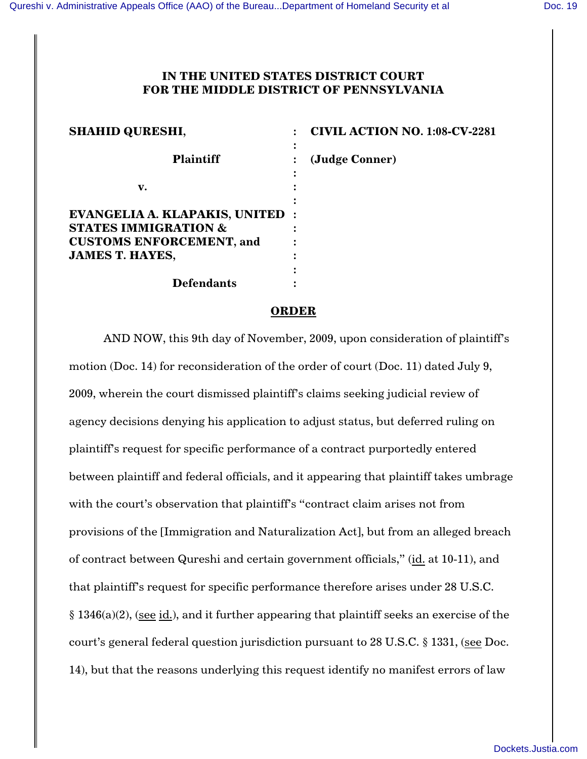## **IN THE UNITED STATES DISTRICT COURT FOR THE MIDDLE DISTRICT OF PENNSYLVANIA**

| <b>SHAHID QURESHI,</b>                                                                              | <b>CIVIL ACTION NO. 1:08-CV-2281</b> |
|-----------------------------------------------------------------------------------------------------|--------------------------------------|
| <b>Plaintiff</b>                                                                                    | (Judge Conner)                       |
| v.                                                                                                  |                                      |
| EVANGELIA A. KLAPAKIS, UNITED<br><b>STATES IMMIGRATION &amp;</b><br><b>CUSTOMS ENFORCEMENT, and</b> |                                      |
| <b>JAMES T. HAYES,</b>                                                                              |                                      |
| <b>Defendants</b>                                                                                   |                                      |

## **ORDER**

AND NOW, this 9th day of November, 2009, upon consideration of plaintiff's motion (Doc. 14) for reconsideration of the order of court (Doc. 11) dated July 9, 2009, wherein the court dismissed plaintiff's claims seeking judicial review of agency decisions denying his application to adjust status, but deferred ruling on plaintiff's request for specific performance of a contract purportedly entered between plaintiff and federal officials, and it appearing that plaintiff takes umbrage with the court's observation that plaintiff's "contract claim arises not from provisions of the [Immigration and Naturalization Act], but from an alleged breach of contract between Qureshi and certain government officials," (id. at 10-11), and that plaintiff's request for specific performance therefore arises under 28 U.S.C. § 1346(a)(2), (see id.), and it further appearing that plaintiff seeks an exercise of the court's general federal question jurisdiction pursuant to 28 U.S.C. § 1331, (see Doc. 14), but that the reasons underlying this request identify no manifest errors of law